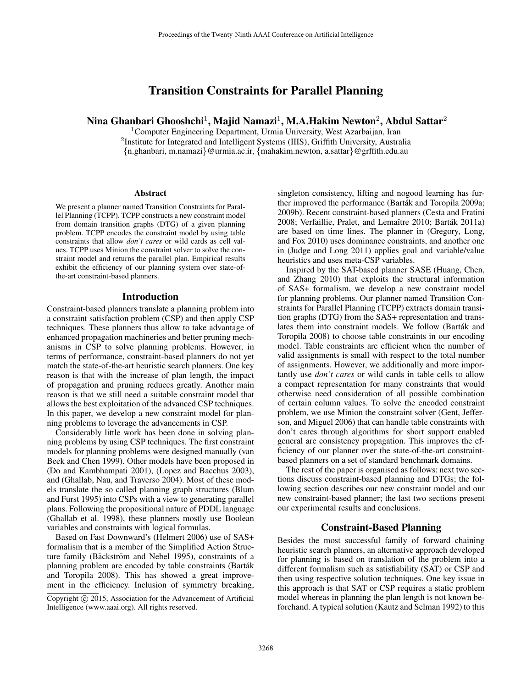# Transition Constraints for Parallel Planning

# Nina Ghanbari Ghooshchi $^1$ , Majid Namazi $^1$ , M.A.Hakim Newton $^2$ , Abdul Sattar $^2$

<sup>1</sup>Computer Engineering Department, Urmia University, West Azarbaijan, Iran <sup>2</sup>Institute for Integrated and Intelligent Systems (IIIS), Griffith University, Australia {n.ghanbari, m.namazi}@urmia.ac.ir, {mahakim.newton, a.sattar}@grffith.edu.au

#### **Abstract**

We present a planner named Transition Constraints for Parallel Planning (TCPP). TCPP constructs a new constraint model from domain transition graphs (DTG) of a given planning problem. TCPP encodes the constraint model by using table constraints that allow *don't cares* or wild cards as cell values. TCPP uses Minion the constraint solver to solve the constraint model and returns the parallel plan. Empirical results exhibit the efficiency of our planning system over state-ofthe-art constraint-based planners.

#### Introduction

Constraint-based planners translate a planning problem into a constraint satisfaction problem (CSP) and then apply CSP techniques. These planners thus allow to take advantage of enhanced propagation machineries and better pruning mechanisms in CSP to solve planning problems. However, in terms of performance, constraint-based planners do not yet match the state-of-the-art heuristic search planners. One key reason is that with the increase of plan length, the impact of propagation and pruning reduces greatly. Another main reason is that we still need a suitable constraint model that allows the best exploitation of the advanced CSP techniques. In this paper, we develop a new constraint model for planning problems to leverage the advancements in CSP.

Considerably little work has been done in solving planning problems by using CSP techniques. The first constraint models for planning problems were designed manually (van Beek and Chen 1999). Other models have been proposed in (Do and Kambhampati 2001), (Lopez and Bacchus 2003), and (Ghallab, Nau, and Traverso 2004). Most of these models translate the so called planning graph structures (Blum and Furst 1995) into CSPs with a view to generating parallel plans. Following the propositional nature of PDDL language (Ghallab et al. 1998), these planners mostly use Boolean variables and constraints with logical formulas.

Based on Fast Downward's (Helmert 2006) use of SAS+ formalism that is a member of the Simplified Action Structure family (Bäckström and Nebel 1995), constraints of a planning problem are encoded by table constraints (Bartak´ and Toropila 2008). This has showed a great improvement in the efficiency. Inclusion of symmetry breaking,

singleton consistency, lifting and nogood learning has further improved the performance (Barták and Toropila 2009a; 2009b). Recent constraint-based planners (Cesta and Fratini 2008; Verfaillie, Pralet, and Lemaître 2010; Barták 2011a) are based on time lines. The planner in (Gregory, Long, and Fox 2010) uses dominance constraints, and another one in (Judge and Long 2011) applies goal and variable/value heuristics and uses meta-CSP variables.

Inspired by the SAT-based planner SASE (Huang, Chen, and Zhang 2010) that exploits the structural information of SAS+ formalism, we develop a new constraint model for planning problems. Our planner named Transition Constraints for Parallel Planning (TCPP) extracts domain transition graphs (DTG) from the SAS+ representation and translates them into constraint models. We follow (Barták and Toropila 2008) to choose table constraints in our encoding model. Table constraints are efficient when the number of valid assignments is small with respect to the total number of assignments. However, we additionally and more importantly use *don't cares* or wild cards in table cells to allow a compact representation for many constraints that would otherwise need consideration of all possible combination of certain column values. To solve the encoded constraint problem, we use Minion the constraint solver (Gent, Jefferson, and Miguel 2006) that can handle table constraints with don't cares through algorithms for short support enabled general arc consistency propagation. This improves the efficiency of our planner over the state-of-the-art constraintbased planners on a set of standard benchmark domains.

The rest of the paper is organised as follows: next two sections discuss constraint-based planning and DTGs; the following section describes our new constraint model and our new constraint-based planner; the last two sections present our experimental results and conclusions.

## Constraint-Based Planning

Besides the most successful family of forward chaining heuristic search planners, an alternative approach developed for planning is based on translation of the problem into a different formalism such as satisfiability (SAT) or CSP and then using respective solution techniques. One key issue in this approach is that SAT or CSP requires a static problem model whereas in planning the plan length is not known beforehand. A typical solution (Kautz and Selman 1992) to this

Copyright (c) 2015, Association for the Advancement of Artificial Intelligence (www.aaai.org). All rights reserved.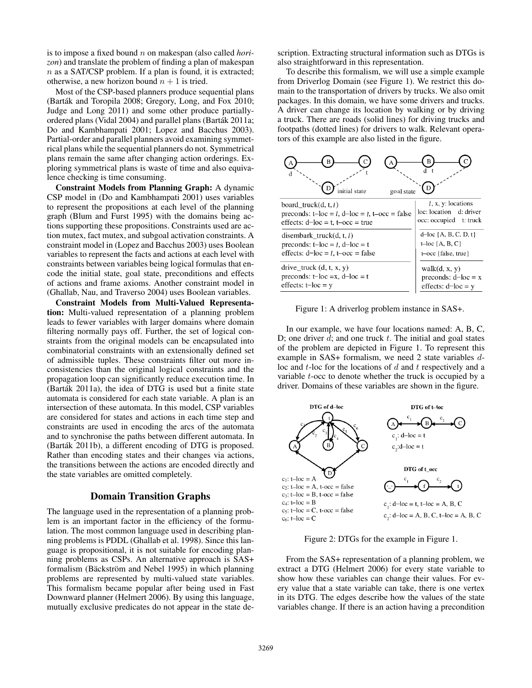is to impose a fixed bound n on makespan (also called *horizon*) and translate the problem of finding a plan of makespan  $n$  as a SAT/CSP problem. If a plan is found, it is extracted; otherwise, a new horizon bound  $n + 1$  is tried.

Most of the CSP-based planners produce sequential plans (Barták and Toropila 2008; Gregory, Long, and Fox 2010; Judge and Long 2011) and some other produce partiallyordered plans (Vidal 2004) and parallel plans (Bartak 2011a; ´ Do and Kambhampati 2001; Lopez and Bacchus 2003). Partial-order and parallel planners avoid examining symmetrical plans while the sequential planners do not. Symmetrical plans remain the same after changing action orderings. Exploring symmetrical plans is waste of time and also equivalence checking is time consuming.

Constraint Models from Planning Graph: A dynamic CSP model in (Do and Kambhampati 2001) uses variables to represent the propositions at each level of the planning graph (Blum and Furst 1995) with the domains being actions supporting these propositions. Constraints used are action mutex, fact mutex, and subgoal activation constraints. A constraint model in (Lopez and Bacchus 2003) uses Boolean variables to represent the facts and actions at each level with constraints between variables being logical formulas that encode the initial state, goal state, preconditions and effects of actions and frame axioms. Another constraint model in (Ghallab, Nau, and Traverso 2004) uses Boolean variables.

Constraint Models from Multi-Valued Representation: Multi-valued representation of a planning problem leads to fewer variables with larger domains where domain filtering normally pays off. Further, the set of logical constraints from the original models can be encapsulated into combinatorial constraints with an extensionally defined set of admissible tuples. These constraints filter out more inconsistencies than the original logical constraints and the propagation loop can significantly reduce execution time. In (Barták 2011a), the idea of DTG is used but a finite state automata is considered for each state variable. A plan is an intersection of these automata. In this model, CSP variables are considered for states and actions in each time step and constraints are used in encoding the arcs of the automata and to synchronise the paths between different automata. In (Barták 2011b), a different encoding of DTG is proposed. Rather than encoding states and their changes via actions, the transitions between the actions are encoded directly and the state variables are omitted completely.

### Domain Transition Graphs

The language used in the representation of a planning problem is an important factor in the efficiency of the formulation. The most common language used in describing planning problems is PDDL (Ghallab et al. 1998). Since this language is propositional, it is not suitable for encoding planning problems as CSPs. An alternative approach is SAS+ formalism (Bäckström and Nebel 1995) in which planning problems are represented by multi-valued state variables. This formalism became popular after being used in Fast Downward planner (Helmert 2006). By using this language, mutually exclusive predicates do not appear in the state description. Extracting structural information such as DTGs is also straightforward in this representation.

To describe this formalism, we will use a simple example from Driverlog Domain (see Figure 1). We restrict this domain to the transportation of drivers by trucks. We also omit packages. In this domain, we have some drivers and trucks. A driver can change its location by walking or by driving a truck. There are roads (solid lines) for driving trucks and footpaths (dotted lines) for drivers to walk. Relevant operators of this example are also listed in the figure.



Figure 1: A driverlog problem instance in SAS+.

In our example, we have four locations named: A, B, C, D; one driver  $d$ ; and one truck  $t$ . The initial and goal states of the problem are depicted in Figure 1. To represent this example in SAS+ formalism, we need 2 state variables dloc and  $t$ -loc for the locations of  $d$  and  $t$  respectively and a variable  $t$ -occ to denote whether the truck is occupied by a driver. Domains of these variables are shown in the figure.



Figure 2: DTGs for the example in Figure 1.

From the SAS+ representation of a planning problem, we extract a DTG (Helmert 2006) for every state variable to show how these variables can change their values. For every value that a state variable can take, there is one vertex in its DTG. The edges describe how the values of the state variables change. If there is an action having a precondition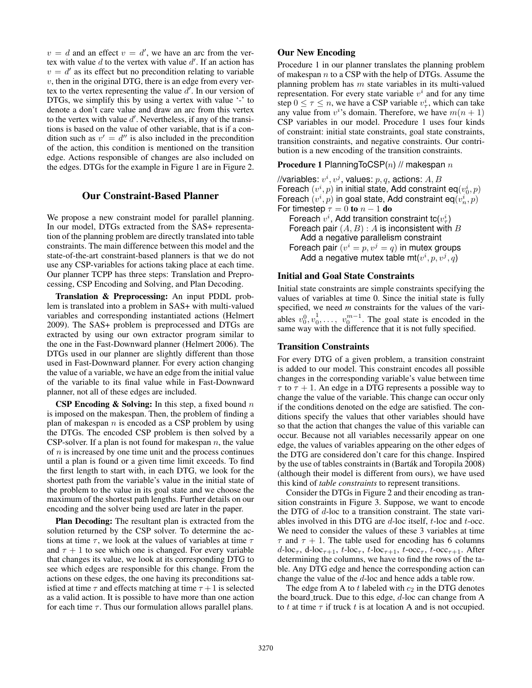$v = d$  and an effect  $v = d'$ , we have an arc from the vertex with value  $d$  to the vertex with value  $d'$ . If an action has  $v = d'$  as its effect but no precondition relating to variable  $v$ , then in the original DTG, there is an edge from every vertex to the vertex representing the value  $d'$ . In our version of DTGs, we simplify this by using a vertex with value '-' to denote a don't care value and draw an arc from this vertex to the vertex with value  $d'$ . Nevertheless, if any of the transitions is based on the value of other variable, that is if a condition such as  $v' = d''$  is also included in the precondition of the action, this condition is mentioned on the transition edge. Actions responsible of changes are also included on the edges. DTGs for the example in Figure 1 are in Figure 2.

# Our Constraint-Based Planner

We propose a new constraint model for parallel planning. In our model, DTGs extracted from the SAS+ representation of the planning problem are directly translated into table constraints. The main difference between this model and the state-of-the-art constraint-based planners is that we do not use any CSP-variables for actions taking place at each time. Our planner TCPP has three steps: Translation and Preprocessing, CSP Encoding and Solving, and Plan Decoding.

Translation & Preprocessing: An input PDDL problem is translated into a problem in SAS+ with multi-valued variables and corresponding instantiated actions (Helmert 2009). The SAS+ problem is preprocessed and DTGs are extracted by using our own extractor program similar to the one in the Fast-Downward planner (Helmert 2006). The DTGs used in our planner are slightly different than those used in Fast-Downward planner. For every action changing the value of a variable, we have an edge from the initial value of the variable to its final value while in Fast-Downward planner, not all of these edges are included.

**CSP Encoding & Solving:** In this step, a fixed bound  $n$ is imposed on the makespan. Then, the problem of finding a plan of makespan  $n$  is encoded as a CSP problem by using the DTGs. The encoded CSP problem is then solved by a CSP-solver. If a plan is not found for makespan  $n$ , the value of  $n$  is increased by one time unit and the process continues until a plan is found or a given time limit exceeds. To find the first length to start with, in each DTG, we look for the shortest path from the variable's value in the initial state of the problem to the value in its goal state and we choose the maximum of the shortest path lengths. Further details on our encoding and the solver being used are later in the paper.

Plan Decoding: The resultant plan is extracted from the solution returned by the CSP solver. To determine the actions at time  $\tau$ , we look at the values of variables at time  $\tau$ and  $\tau + 1$  to see which one is changed. For every variable that changes its value, we look at its corresponding DTG to see which edges are responsible for this change. From the actions on these edges, the one having its preconditions satisfied at time  $\tau$  and effects matching at time  $\tau + 1$  is selected as a valid action. It is possible to have more than one action for each time  $\tau$ . Thus our formulation allows parallel plans.

# Our New Encoding

Procedure 1 in our planner translates the planning problem of makespan  $n$  to a CSP with the help of DTGs. Assume the planning problem has  $m$  state variables in its multi-valued representation. For every state variable  $v^i$  and for any time step  $0 \le \tau \le n$ , we have a CSP variable  $v^i_\tau$ , which can take any value from  $v^i$ 's domain. Therefore, we have  $m(n + 1)$ CSP variables in our model. Procedure 1 uses four kinds of constraint: initial state constraints, goal state constraints, transition constraints, and negative constraints. Our contribution is a new encoding of the transition constraints.

**Procedure 1 PlanningToCSP(n) // makespan n** 

//variables:  $v^i,v^j$ , values:  $p,q,$  actions:  $A,B$ Foreach  $(v^i, p)$  in initial state, Add constraint eq $(v^i_0, p)$ Foreach  $(v^{i},p)$  in goal state, Add constraint eq $(v^{i}_{n},p)$ For timestep  $\tau = 0$  to  $n - 1$  do Foreach  $v^i$ , Add transition constraint tc $(v^i_\tau)$ Foreach pair  $(A, B) : A$  is inconsistent with B Add a negative parallelism constraint Foreach pair  $(v^i = p, v^j = q)$  in mutex groups Add a negative mutex table mt $(v^i, p, v^j, q)$ 

#### Initial and Goal State Constraints

Initial state constraints are simple constraints specifying the values of variables at time 0. Since the initial state is fully specified, we need *m* constraints for the values of the variables  $v_0^0, v_0^1$  $v_0^1, \ldots, v_0^{m-1}$ . The goal state is encoded in the same way with the difference that it is not fully specified.

### Transition Constraints

For every DTG of a given problem, a transition constraint is added to our model. This constraint encodes all possible changes in the corresponding variable's value between time  $\tau$  to  $\tau$  + 1. An edge in a DTG represents a possible way to change the value of the variable. This change can occur only if the conditions denoted on the edge are satisfied. The conditions specify the values that other variables should have so that the action that changes the value of this variable can occur. Because not all variables necessarily appear on one edge, the values of variables appearing on the other edges of the DTG are considered don't care for this change. Inspired by the use of tables constraints in (Barták and Toropila 2008) (although their model is different from ours), we have used this kind of *table constraints* to represent transitions.

Consider the DTGs in Figure 2 and their encoding as transition constraints in Figure 3. Suppose, we want to encode the DTG of d-loc to a transition constraint. The state variables involved in this DTG are d-loc itself, t-loc and t-occ. We need to consider the values of these 3 variables at time  $\tau$  and  $\tau$  + 1. The table used for encoding has 6 columns  $d$ -loc<sub> $\tau$ </sub>,  $d$ -loc<sub> $\tau+1$ </sub>,  $t$ -loc<sub> $\tau$ </sub>,  $t$ -loc<sub> $\tau+1$ </sub>,  $t$ -occ<sub> $\tau$ </sub>,  $t$ -occ<sub> $\tau+1$ </sub>. After determining the columns, we have to find the rows of the table. Any DTG edge and hence the corresponding action can change the value of the d-loc and hence adds a table row.

The edge from A to  $t$  labeled with  $c_2$  in the DTG denotes the board truck. Due to this edge,  $d$ -loc can change from A to t at time  $\tau$  if truck t is at location A and is not occupied.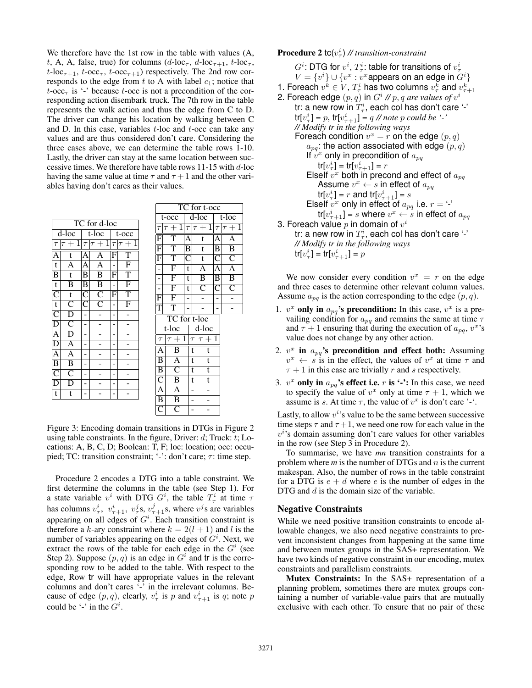We therefore have the 1st row in the table with values (A, t, A, A, false, true) for columns  $(d$ -loc<sub> $\tau$ </sub>,  $d$ -loc<sub> $\tau$ +1</sub>,  $t$ -loc<sub> $\tau$ </sub>,  $t$ -loc<sub> $\tau$ +1</sub>,  $t$ -occ<sub> $\tau$ </sub>,  $t$ -occ<sub> $\tau$ +1</sub>) respectively. The 2nd row corresponds to the edge from  $t$  to A with label  $c_1$ ; notice that  $t$ -occ<sub> $\tau$ </sub> is '-' because t-occ is not a precondition of the corresponding action disembark truck. The 7th row in the table represents the walk action and thus the edge from C to D. The driver can change his location by walking between C and D. In this case, variables  $t$ -loc and  $t$ -occ can take any values and are thus considered don't care. Considering the three cases above, we can determine the table rows 1-10. Lastly, the driver can stay at the same location between successive times. We therefore have table rows  $11-15$  with  $d$ -loc having the same value at time  $\tau$  and  $\tau + 1$  and the other variables having don't cares as their values.

| TC for d-loc            |                                    |        |                                        |                                 |                         |  |  |
|-------------------------|------------------------------------|--------|----------------------------------------|---------------------------------|-------------------------|--|--|
| d-loc                   |                                    |        | $t$ -loc                               | t-occ                           |                         |  |  |
| $\tau$                  | $+1$<br>$\overline{1}$             | $\tau$ | $\tau+1$                               | $\cdot + 1$<br>$\tau$<br>$\tau$ |                         |  |  |
| А                       | t                                  | Α      | A                                      |                                 | $\overline{\mathrm{T}}$ |  |  |
| t                       | $\overline{\rm A}$                 | А      | $\overline{A}$                         |                                 | $\overline{\mathrm{F}}$ |  |  |
| $\overline{\mathrm{B}}$ | t                                  | B      | $\overline{\mathbf{B}}$                | F                               | $\overline{T}$          |  |  |
| t                       | B                                  | B      | $\frac{\overline{\text{B}}}{\text{C}}$ |                                 | F                       |  |  |
| $\overline{\text{C}}$   | $\overline{t}$                     | C      |                                        | F                               | $\overline{T}$          |  |  |
| t                       | $\overline{\overline{\mathsf{C}}}$ | C      |                                        |                                 | $\overline{\mathrm{F}}$ |  |  |
| $\overline{\mathsf{C}}$ | $\frac{\overline{D}}{C}$           |        |                                        |                                 |                         |  |  |
| D                       |                                    |        |                                        |                                 |                         |  |  |
| A                       | $\overline{\rm D}$                 |        |                                        |                                 |                         |  |  |
| D                       | $\overline{A}$                     |        |                                        |                                 |                         |  |  |
| A                       | $\overline{A}$                     |        |                                        |                                 |                         |  |  |
| $\overline{\mathbf{B}}$ | $\overline{\mathbf{B}}$            |        |                                        |                                 |                         |  |  |
| $\overline{\mathsf{C}}$ | $\bar{\bar{C}}$                    |        |                                        |                                 |                         |  |  |
| E                       | $\overline{\rm D}$                 |        |                                        |                                 |                         |  |  |
| t                       | t                                  |        |                                        |                                 |                         |  |  |

| TC for t-occ            |                         |                         |                     |                         |       |                         |  |                       |  |
|-------------------------|-------------------------|-------------------------|---------------------|-------------------------|-------|-------------------------|--|-----------------------|--|
|                         | t-occ                   | $\overline{d}$ -loc     |                     |                         | t-loc |                         |  |                       |  |
| $\tau$                  | $+1$<br>$\tau$          | $\tau$                  |                     | $\overline{\tau+1}$     |       | $\tau$                  |  | $\overline{\tau+1}$   |  |
| $\overline{\mathrm{F}}$ | $\overline{T}$          | A                       |                     | t                       |       | Ā                       |  | $\overline{A}$        |  |
| $\overline{\mathrm{F}}$ | $\overline{T}$          | $\overline{\mathtt{B}}$ |                     | t                       |       | $\overline{\mathrm{B}}$ |  | $\overline{B}$        |  |
| $\overline{F}$          | $\overline{T}$          | $\overline{\text{C}}$   |                     | t                       |       | $\overline{\mathsf{C}}$ |  | $\overline{\rm C}$    |  |
| $\overline{a}$          | $\overline{\mathrm{F}}$ | t                       |                     | $\overline{A}$          |       | Ā                       |  | $\overline{A}$        |  |
| $\frac{1}{1}$           | $\overline{\mathrm{F}}$ | t                       |                     | $\overline{B}$          |       | $\overline{\mathbf{B}}$ |  | $\overline{B}$        |  |
|                         | $\overline{\mathrm{F}}$ | t                       |                     | $\overline{\mathsf{C}}$ |       | $\overline{\text{C}}$   |  | $\overline{\text{C}}$ |  |
| $\overline{\mathrm{F}}$ | $\overline{F}$          |                         |                     |                         |       |                         |  |                       |  |
| $\overline{\mathrm{T}}$ | $\overline{T}$          |                         |                     |                         |       |                         |  |                       |  |
|                         | TC for t-loc            |                         |                     |                         |       |                         |  |                       |  |
|                         | t-loc                   |                         | $\overline{d}$ -loc |                         |       |                         |  |                       |  |
| $\tau$                  | $\tau +$                | $\mathbf{1}$            | $\tau$              | $\tau$                  | $+$   | 1                       |  |                       |  |
| $\overline{\mathbf{A}}$ | $\overline{\mathbf{B}}$ |                         | t                   | t                       |       |                         |  |                       |  |
| $\overline{\mathbf{B}}$ | $\overline{A}$          |                         | t                   | t                       |       |                         |  |                       |  |
| $\overline{B}$          | $\overline{\rm C}$      |                         | t                   | t                       |       |                         |  |                       |  |
| $\overline{C}$          | $\overline{B}$          |                         | t                   | t                       |       |                         |  |                       |  |
| $\overline{A}$          | $\overline{\mathbf{A}}$ |                         | $\overline{a}$      |                         |       |                         |  |                       |  |
| $\overline{B}$          | $\overline{B}$          |                         |                     |                         |       |                         |  |                       |  |
| $\overline{C}$          | $\overline{\mathsf{C}}$ |                         |                     |                         |       |                         |  |                       |  |

Figure 3: Encoding domain transitions in DTGs in Figure 2 using table constraints. In the figure, Driver:  $d$ ; Truck:  $t$ ; Locations: A, B, C, D; Boolean: T, F; loc: location; occ: occupied; TC: transition constraint; '-': don't care;  $\tau$ : time step.

Procedure 2 encodes a DTG into a table constraint. We first determine the columns in the table (see Step 1). For a state variable  $v^i$  with DTG  $G^i$ , the table  $T^i_\tau$  at time  $\tau$ has columns  $v_{\tau}^i$ ,  $v_{\tau+1}^i$ ,  $v_{\tau}^j$ s,  $v_{\tau+1}^j$ s, where  $v^j$ s are variables appearing on all edges of  $G<sup>i</sup>$ . Each transition constraint is therefore a k-ary constraint where  $k = 2(l + 1)$  and l is the number of variables appearing on the edges of  $G^i$ . Next, we extract the rows of the table for each edge in the  $G<sup>i</sup>$  (see Step 2). Suppose  $(p, q)$  is an edge in  $G<sup>i</sup>$  and tr is the corresponding row to be added to the table. With respect to the edge, Row tr will have appropriate values in the relevant columns and don't cares '-' in the irrelevant columns. Because of edge  $(p, q)$ , clearly,  $v_\tau^i$  is p and  $v_{\tau+1}^i$  is q; note p could be '-' in the  $G^i$ .

**Procedure 2 tc**( $v_\tau^i$ ) // transition-constraint

 $G^i$ : DTG for  $v^i,$   $T^i_{\tau}$ : table for transitions of  $v^i_{\tau}$  $V = \{v^i\} \cup \{v^x : v^x$ appears on an edge in  $G^i\}$ 1. Foreach  $v^k \in V$ ,  $T^i_\tau$  has two columns  $v^k_\tau$  and  $v^k_{\tau+1}$ 2. Foreach edge  $(p, q)$  in  $G^i$  //  $p, q$  are values of  $v^i$ tr: a new row in  $T_{\tau}^i$ , each col has don't care '-'  $tr[v_{\tau}^{i}] = p$ ,  $tr[v_{\tau+1}^{i}] = q$  // note p could be '-' *// Modify tr in the following ways* Foreach condition  $v^x = r$  on the edge  $(p, q)$  $a_{pq}$ : the action associated with edge  $(p, q)$ If  $\hat{v}^x$  only in precondition of  $a_{pq}$ tr $[v_\tau^i] = \text{tr}[v_{\tau+1}^i] = r$ ElseIf  $v^x$  both in precond and effect of  $a_{pq}$ Assume  $v^x \leftarrow s$  in effect of  $a_{pq}$ tr $[v_\tau^i] = r$  and tr $[v_{\tau+1}^i] = s$ ElseIf  $v^x$  only in effect of  $a_{pq}$  i.e.  $r = -1$ tr[ $v_{\tau+1}^i]$  =  $s$  where  $v^x \leftarrow s$  in effect of  $a_{pq}$ 3. Foreach value  $p$  in domain of  $v^i$ tr: a new row in  $T_\tau^i$ , each col has don't care '-' *// Modify tr in the following ways* tr $[v_\tau^i] = \text{tr}[v_{\tau+1}^i] = p$ 

We now consider every condition  $v^x = r$  on the edge and three cases to determine other relevant column values. Assume  $a_{pq}$  is the action corresponding to the edge  $(p, q)$ .

- 1.  $v^x$  only in  $a_{pq}$ 's precondition: In this case,  $v^x$  is a prevailing condition for  $a_{pq}$  and remains the same at time  $\tau$ and  $\tau + 1$  ensuring that during the execution of  $a_{pq}$ ,  $v^x$ 's value does not change by any other action.
- 2.  $v^x$  in  $a_{pq}$ 's precondition and effect both: Assuming  $v^x \leftarrow s$  is in the effect, the values of  $v^x$  at time  $\tau$  and  $\tau + 1$  in this case are trivially r and s respectively.
- 3.  $v^x$  only in  $a_{pq}$ 's effect i.e. r is '-': In this case, we need to specify the value of  $v^x$  only at time  $\tau + 1$ , which we assume is s. At time  $\tau$ , the value of  $v^x$  is don't care '-'.

Lastly, to allow  $v^i$ 's value to be the same between successive time steps  $\tau$  and  $\tau + 1$ , we need one row for each value in the  $v<sup>i</sup>$ 's domain assuming don't care values for other variables in the row (see Step 3 in Procedure 2).

To summarise, we have *mn* transition constraints for a problem where *m* is the number of DTGs and *n* is the current makespan. Also, the number of rows in the table constraint for a DTG is  $e + d$  where e is the number of edges in the DTG and d is the domain size of the variable.

## Negative Constraints

While we need positive transition constraints to encode allowable changes, we also need negative constraints to prevent inconsistent changes from happening at the same time and between mutex groups in the SAS+ representation. We have two kinds of negative constraint in our encoding, mutex constraints and parallelism constraints.

Mutex Constraints: In the SAS+ representation of a planning problem, sometimes there are mutex groups containing a number of variable-value pairs that are mutually exclusive with each other. To ensure that no pair of these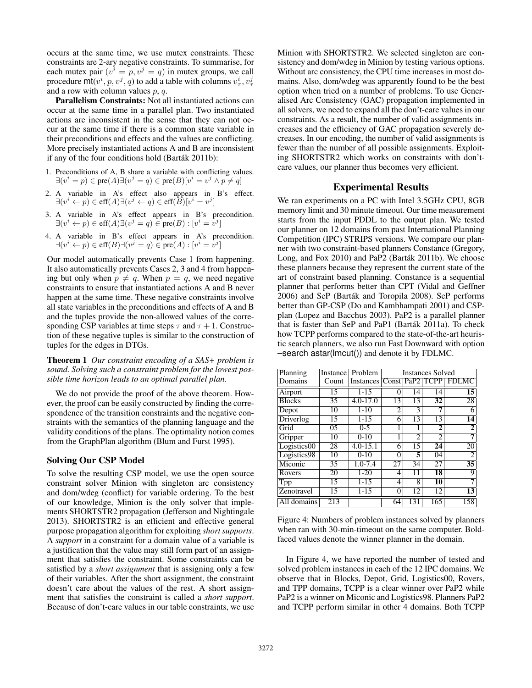occurs at the same time, we use mutex constraints. These constraints are 2-ary negative constraints. To summarise, for each mutex pair  $(v^i = p, v^j = q)$  in mutex groups, we call procedure  $\text{mit}(v^i, p, v^j, q)$  to add a table with columns  $v^i_\tau, v^j_\tau$ and a row with column values  $p, q$ .

Parallelism Constraints: Not all instantiated actions can occur at the same time in a parallel plan. Two instantiated actions are inconsistent in the sense that they can not occur at the same time if there is a common state variable in their preconditions and effects and the values are conflicting. More precisely instantiated actions A and B are inconsistent if any of the four conditions hold (Barták 2011b):

- 1. Preconditions of A, B share a variable with conflicting values.  $\exists (v^i = p) \in \text{pre}(A) \exists (v^j = q) \in \text{pre}(B) [v^i = v^j \land p \neq q]$
- 2. A variable in A's effect also appears in B's effect.  $\exists (v^i \leftarrow p) \in \text{eff}(A) \exists (v^j \leftarrow q) \in \text{eff}(\overline{B}) [v^i = v^j]$
- 3. A variable in A's effect appears in B's precondition.  $\exists (v^i \leftarrow p) \in \text{eff}(A) \exists (v^j = q) \in \text{pre}(B) : [v^i = v^j]$
- 4. A variable in B's effect appears in A's precondition.  $\exists (v^i \leftarrow p) \in \text{eff}(B) \exists (v^j = q) \in \text{pre}(A) : [v^i = v^j]$

Our model automatically prevents Case 1 from happening. It also automatically prevents Cases 2, 3 and 4 from happening but only when  $p \neq q$ . When  $p = q$ , we need negative constraints to ensure that instantiated actions A and B never happen at the same time. These negative constraints involve all state variables in the preconditions and effects of A and B and the tuples provide the non-allowed values of the corresponding CSP variables at time steps  $\tau$  and  $\tau + 1$ . Construction of these negative tuples is similar to the construction of tuples for the edges in DTGs.

Theorem 1 *Our constraint encoding of a SAS+ problem is sound. Solving such a constraint problem for the lowest possible time horizon leads to an optimal parallel plan.*

We do not provide the proof of the above theorem. However, the proof can be easily constructed by finding the correspondence of the transition constraints and the negative constraints with the semantics of the planning language and the validity conditions of the plans. The optimality notion comes from the GraphPlan algorithm (Blum and Furst 1995).

## Solving Our CSP Model

To solve the resulting CSP model, we use the open source constraint solver Minion with singleton arc consistency and dom/wdeg (conflict) for variable ordering. To the best of our knowledge, Minion is the only solver that implements SHORTSTR2 propagation (Jefferson and Nightingale 2013). SHORTSTR2 is an efficient and effective general purpose propagation algorithm for exploiting *short supports*. A *support* in a constraint for a domain value of a variable is a justification that the value may still form part of an assignment that satisfies the constraint. Some constraints can be satisfied by a *short assignment* that is assigning only a few of their variables. After the short assignment, the constraint doesn't care about the values of the rest. A short assignment that satisfies the constraint is called a *short support*. Because of don't-care values in our table constraints, we use

Minion with SHORTSTR2. We selected singleton arc consistency and dom/wdeg in Minion by testing various options. Without arc consistency, the CPU time increases in most domains. Also, dom/wdeg was apparently found to be the best option when tried on a number of problems. To use Generalised Arc Consistency (GAC) propagation implemented in all solvers, we need to expand all the don't-care values in our constraints. As a result, the number of valid assignments increases and the efficiency of GAC propagation severely decreases. In our encoding, the number of valid assignments is fewer than the number of all possible assignments. Exploiting SHORTSTR2 which works on constraints with don'tcare values, our planner thus becomes very efficient.

# Experimental Results

We ran experiments on a PC with Intel 3.5GHz CPU, 8GB memory limit and 30 minute timeout. Our time measurement starts from the input PDDL to the output plan. We tested our planner on 12 domains from past International Planning Competition (IPC) STRIPS versions. We compare our planner with two constraint-based planners Constance (Gregory, Long, and Fox 2010) and PaP2 (Barták 2011b). We choose these planners because they represent the current state of the art of constraint based planning. Constance is a sequential planner that performs better than CPT (Vidal and Geffner 2006) and SeP (Barták and Toropila 2008). SeP performs better than GP-CSP (Do and Kambhampati 2001) and CSPplan (Lopez and Bacchus 2003). PaP2 is a parallel planner that is faster than SeP and PaP1 (Bartak 2011a). To check ´ how TCPP performs compared to the state-of-the-art heuristic search planners, we also run Fast Downward with option –search astar(lmcut()) and denote it by FDLMC.

| Planning      | Instance | Problem                             | <b>Instances Solved</b> |                  |                |                 |
|---------------|----------|-------------------------------------|-------------------------|------------------|----------------|-----------------|
| Domains       | Count    | Instances Const PaP2   TCPP   FDLMC |                         |                  |                |                 |
| Airport       | 15       | $1 - 15$                            | 0                       | 14               | 14             | $\overline{15}$ |
| <b>Blocks</b> | 35       | $4.0 - 17.0$                        | 13                      | 13               | 32             | 28              |
| Depot         | 10       | $1 - 10$                            | 2                       | 3                |                | 6               |
| Driverlog     | 15       | $1 - 15$                            | 6                       | 13               | 13             | 14              |
| Grid          | 0.5      | $0 - 5$                             | 1                       |                  | 2              | $\overline{2}$  |
| Gripper       | 10       | $0-10$                              |                         | $\overline{c}$   | $\overline{2}$ | 7               |
| Logistics00   | 28       | $4.0 - 15.1$                        | 6                       | 15               | 24             | 20              |
| Logistics98   | 10       | $0-10$                              | 0                       | 5                | 04             | 2               |
| Miconic       | 35       | $1.0 - 7.4$                         | 27                      | 34               | 27             | $\overline{35}$ |
| Rovers        | 20       | $1-20$                              | 4                       | 11               | 18             | 9               |
| Tpp           | 15       | $1 - 15$                            | 4                       | 8                | 10             | 7               |
| Zenotravel    | 15       | $1 - 15$                            | $\theta$                | 12               | 12             | 13              |
| All domains   | 213      |                                     | 64                      | $1\overline{31}$ | 165            | 158             |

Figure 4: Numbers of problem instances solved by planners when ran with 30-min-timeout on the same computer. Boldfaced values denote the winner planner in the domain.

In Figure 4, we have reported the number of tested and solved problem instances in each of the 12 IPC domains. We observe that in Blocks, Depot, Grid, Logistics00, Rovers, and TPP domains, TCPP is a clear winner over PaP2 while PaP2 is a winner on Miconic and Logistics98. Planners PaP2 and TCPP perform similar in other 4 domains. Both TCPP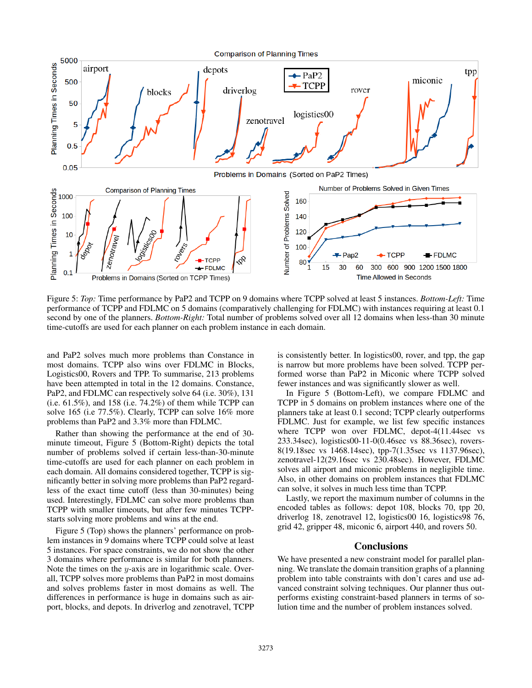

Figure 5: *Top:* Time performance by PaP2 and TCPP on 9 domains where TCPP solved at least 5 instances. *Bottom-Left:* Time performance of TCPP and FDLMC on 5 domains (comparatively challenging for FDLMC) with instances requiring at least 0.1 second by one of the planners. *Bottom-Right:* Total number of problems solved over all 12 domains when less-than 30 minute time-cutoffs are used for each planner on each problem instance in each domain.

and PaP2 solves much more problems than Constance in most domains. TCPP also wins over FDLMC in Blocks, Logistics00, Rovers and TPP. To summarise, 213 problems have been attempted in total in the 12 domains. Constance, PaP2, and FDLMC can respectively solve 64 (i.e. 30%), 131 (i.e. 61.5%), and 158 (i.e. 74.2%) of them while TCPP can solve 165 (i.e 77.5%). Clearly, TCPP can solve 16% more problems than PaP2 and 3.3% more than FDLMC.

Rather than showing the performance at the end of 30 minute timeout, Figure 5 (Bottom-Right) depicts the total number of problems solved if certain less-than-30-minute time-cutoffs are used for each planner on each problem in each domain. All domains considered together, TCPP is significantly better in solving more problems than PaP2 regardless of the exact time cutoff (less than 30-minutes) being used. Interestingly, FDLMC can solve more problems than TCPP with smaller timeouts, but after few minutes TCPPstarts solving more problems and wins at the end.

Figure 5 (Top) shows the planners' performance on problem instances in 9 domains where TCPP could solve at least 5 instances. For space constraints, we do not show the other 3 domains where performance is similar for both planners. Note the times on the  $y$ -axis are in logarithmic scale. Overall, TCPP solves more problems than PaP2 in most domains and solves problems faster in most domains as well. The differences in performance is huge in domains such as airport, blocks, and depots. In driverlog and zenotravel, TCPP

is consistently better. In logistics00, rover, and tpp, the gap is narrow but more problems have been solved. TCPP performed worse than PaP2 in Miconic where TCPP solved fewer instances and was significantly slower as well.

In Figure 5 (Bottom-Left), we compare FDLMC and TCPP in 5 domains on problem instances where one of the planners take at least 0.1 second; TCPP clearly outperforms FDLMC. Just for example, we list few specific instances where TCPP won over FDLMC, depot-4(11.44sec vs 233.34sec), logistics00-11-0(0.46sec vs 88.36sec), rovers-8(19.18sec vs 1468.14sec), tpp-7(1.35sec vs 1137.96sec), zenotravel-12(29.16sec vs 230.48sec). However, FDLMC solves all airport and miconic problems in negligible time. Also, in other domains on problem instances that FDLMC can solve, it solves in much less time than TCPP.

Lastly, we report the maximum number of columns in the encoded tables as follows: depot 108, blocks 70, tpp 20, driverlog 18, zenotravel 12, logistics00 16, logistics98 76, grid 42, gripper 48, miconic 6, airport 440, and rovers 50.

## **Conclusions**

We have presented a new constraint model for parallel planning. We translate the domain transition graphs of a planning problem into table constraints with don't cares and use advanced constraint solving techniques. Our planner thus outperforms existing constraint-based planners in terms of solution time and the number of problem instances solved.